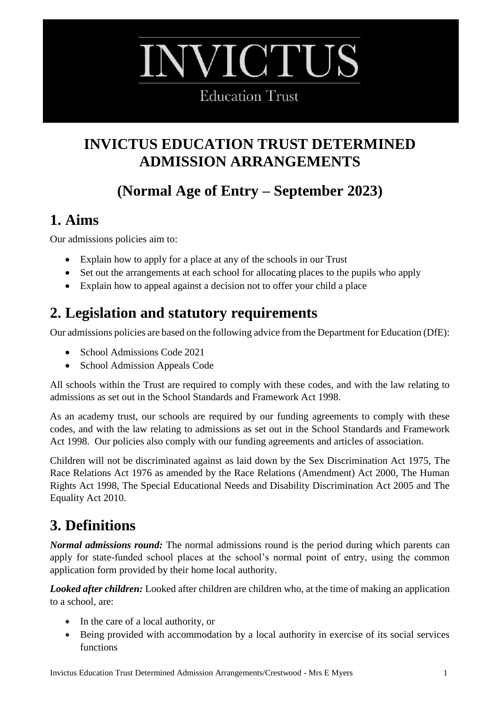# **WICTUS**

**Education Trust** 

## **INVICTUS EDUCATION TRUST DETERMINED ADMISSION ARRANGEMENTS**

# **(Normal Age of Entry – September 2023)**

## **1. Aims**

Our admissions policies aim to:

- Explain how to apply for a place at any of the schools in our Trust
- Set out the arrangements at each school for allocating places to the pupils who apply
- Explain how to appeal against a decision not to offer your child a place

## **2. Legislation and statutory requirements**

Our admissions policies are based on the following advice from the Department for Education (DfE):

- School Admissions Code 2021
- School Admission Appeals Code

All schools within the Trust are required to comply with these codes, and with the law relating to admissions as set out in the School Standards and Framework Act 1998.

As an academy trust, our schools are required by our funding agreements to comply with these codes, and with the law relating to admissions as set out in the School Standards and Framework Act 1998. Our policies also comply with our funding agreements and articles of association.

Children will not be discriminated against as laid down by the Sex Discrimination Act 1975, The Race Relations Act 1976 as amended by the Race Relations (Amendment) Act 2000, The Human Rights Act 1998, The Special Educational Needs and Disability Discrimination Act 2005 and The Equality Act 2010.

# **3. Definitions**

*Normal admissions round:* The normal admissions round is the period during which parents can apply for state-funded school places at the school's normal point of entry, using the common application form provided by their home local authority.

*Looked after children:* Looked after children are children who, at the time of making an application to a school, are:

- In the care of a local authority, or
- Being provided with accommodation by a local authority in exercise of its social services functions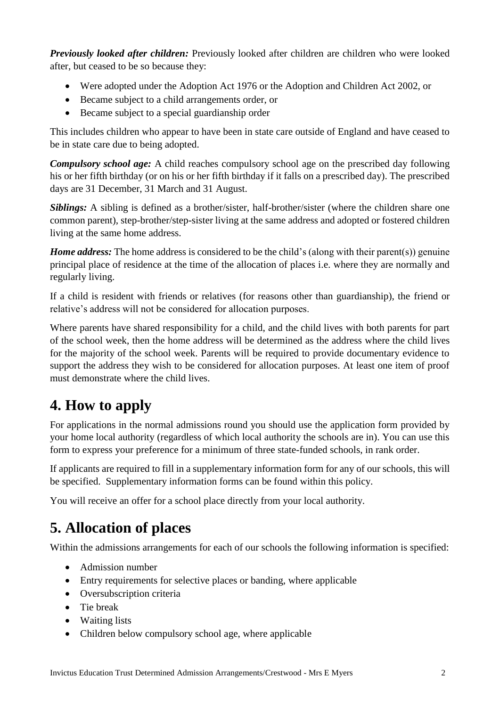*Previously looked after children:* Previously looked after children are children who were looked after, but ceased to be so because they:

- Were adopted under the Adoption Act 1976 or the Adoption and Children Act 2002, or
- Became subject to a child arrangements order, or
- Became subject to a special guardianship order

This includes children who appear to have been in state care outside of England and have ceased to be in state care due to being adopted.

*Compulsory school age:* A child reaches compulsory school age on the prescribed day following his or her fifth birthday (or on his or her fifth birthday if it falls on a prescribed day). The prescribed days are 31 December, 31 March and 31 August.

*Siblings:* A sibling is defined as a brother/sister, half-brother/sister (where the children share one common parent), step-brother/step-sister living at the same address and adopted or fostered children living at the same home address.

*Home address:* The home address is considered to be the child's (along with their parent(s)) genuine principal place of residence at the time of the allocation of places i.e. where they are normally and regularly living.

If a child is resident with friends or relatives (for reasons other than guardianship), the friend or relative's address will not be considered for allocation purposes.

Where parents have shared responsibility for a child, and the child lives with both parents for part of the school week, then the home address will be determined as the address where the child lives for the majority of the school week. Parents will be required to provide documentary evidence to support the address they wish to be considered for allocation purposes. At least one item of proof must demonstrate where the child lives.

## **4. How to apply**

For applications in the normal admissions round you should use the application form provided by your home local authority (regardless of which local authority the schools are in). You can use this form to express your preference for a minimum of three state-funded schools, in rank order.

If applicants are required to fill in a supplementary information form for any of our schools, this will be specified. Supplementary information forms can be found within this policy.

You will receive an offer for a school place directly from your local authority.

## **5. Allocation of places**

Within the admissions arrangements for each of our schools the following information is specified:

- Admission number
- Entry requirements for selective places or banding, where applicable
- Oversubscription criteria
- Tie break
- Waiting lists
- Children below compulsory school age, where applicable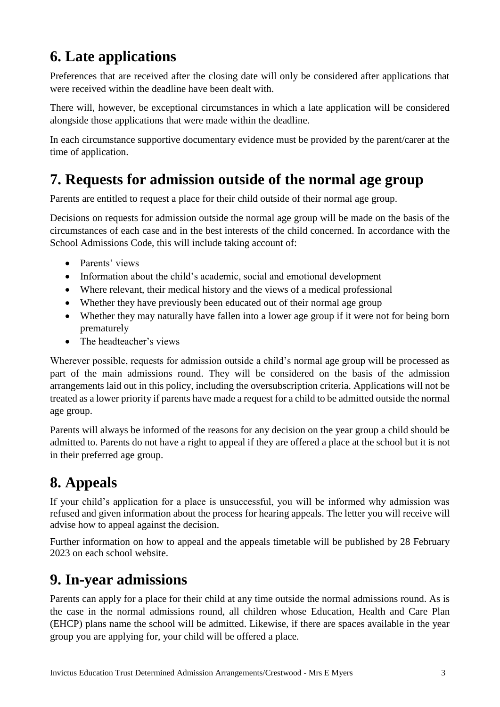## **6. Late applications**

Preferences that are received after the closing date will only be considered after applications that were received within the deadline have been dealt with.

There will, however, be exceptional circumstances in which a late application will be considered alongside those applications that were made within the deadline.

In each circumstance supportive documentary evidence must be provided by the parent/carer at the time of application.

## **7. Requests for admission outside of the normal age group**

Parents are entitled to request a place for their child outside of their normal age group.

Decisions on requests for admission outside the normal age group will be made on the basis of the circumstances of each case and in the best interests of the child concerned. In accordance with the School Admissions Code, this will include taking account of:

- Parents' views
- Information about the child's academic, social and emotional development
- Where relevant, their medical history and the views of a medical professional
- Whether they have previously been educated out of their normal age group
- Whether they may naturally have fallen into a lower age group if it were not for being born prematurely
- The headteacher's views

Wherever possible, requests for admission outside a child's normal age group will be processed as part of the main admissions round. They will be considered on the basis of the admission arrangements laid out in this policy, including the oversubscription criteria. Applications will not be treated as a lower priority if parents have made a request for a child to be admitted outside the normal age group.

Parents will always be informed of the reasons for any decision on the year group a child should be admitted to. Parents do not have a right to appeal if they are offered a place at the school but it is not in their preferred age group.

## **8. Appeals**

If your child's application for a place is unsuccessful, you will be informed why admission was refused and given information about the process for hearing appeals. The letter you will receive will advise how to appeal against the decision.

Further information on how to appeal and the appeals timetable will be published by 28 February 2023 on each school website.

## **9. In-year admissions**

Parents can apply for a place for their child at any time outside the normal admissions round. As is the case in the normal admissions round, all children whose Education, Health and Care Plan (EHCP) plans name the school will be admitted. Likewise, if there are spaces available in the year group you are applying for, your child will be offered a place.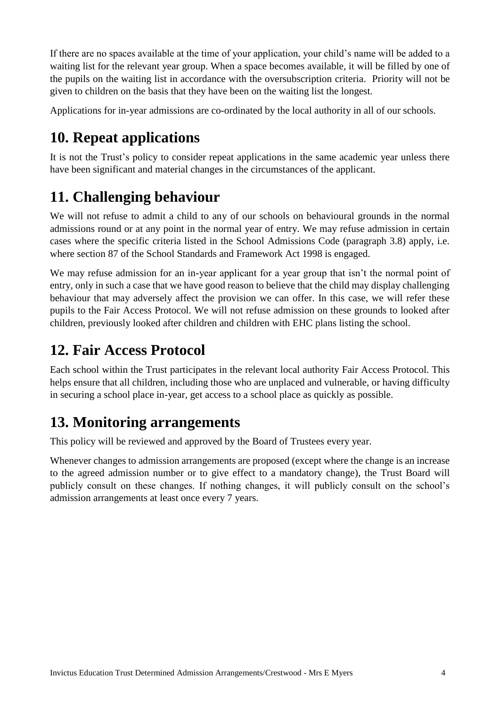If there are no spaces available at the time of your application, your child's name will be added to a waiting list for the relevant year group. When a space becomes available, it will be filled by one of the pupils on the waiting list in accordance with the oversubscription criteria. Priority will not be given to children on the basis that they have been on the waiting list the longest.

Applications for in-year admissions are co-ordinated by the local authority in all of our schools.

## **10. Repeat applications**

It is not the Trust's policy to consider repeat applications in the same academic year unless there have been significant and material changes in the circumstances of the applicant.

## **11. Challenging behaviour**

We will not refuse to admit a child to any of our schools on behavioural grounds in the normal admissions round or at any point in the normal year of entry. We may refuse admission in certain cases where the specific criteria listed in the School Admissions Code (paragraph 3.8) apply, i.e. where section 87 of the School Standards and Framework Act 1998 is engaged.

We may refuse admission for an in-year applicant for a year group that isn't the normal point of entry, only in such a case that we have good reason to believe that the child may display challenging behaviour that may adversely affect the provision we can offer. In this case, we will refer these pupils to the Fair Access Protocol. We will not refuse admission on these grounds to looked after children, previously looked after children and children with EHC plans listing the school.

## **12. Fair Access Protocol**

Each school within the Trust participates in the relevant local authority Fair Access Protocol. This helps ensure that all children, including those who are unplaced and vulnerable, or having difficulty in securing a school place in-year, get access to a school place as quickly as possible.

## **13. Monitoring arrangements**

This policy will be reviewed and approved by the Board of Trustees every year.

Whenever changes to admission arrangements are proposed (except where the change is an increase to the agreed admission number or to give effect to a mandatory change), the Trust Board will publicly consult on these changes. If nothing changes, it will publicly consult on the school's admission arrangements at least once every 7 years.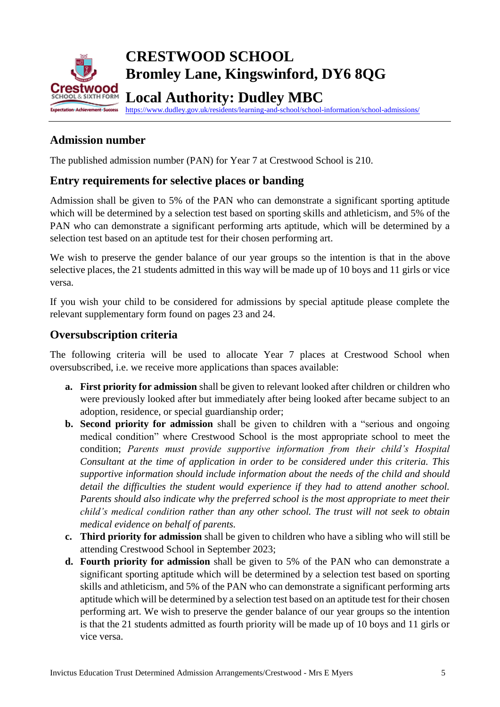

# **CRESTWOOD SCHOOL Bromley Lane, Kingswinford, DY6 8QG Crestwood Exploration Local Authority: Dudley MBC**

<https://www.dudley.gov.uk/residents/learning-and-school/school-information/school-admissions/>

#### **Admission number**

The published admission number (PAN) for Year 7 at Crestwood School is 210.

#### **Entry requirements for selective places or banding**

Admission shall be given to 5% of the PAN who can demonstrate a significant sporting aptitude which will be determined by a selection test based on sporting skills and athleticism, and 5% of the PAN who can demonstrate a significant performing arts aptitude, which will be determined by a selection test based on an aptitude test for their chosen performing art.

We wish to preserve the gender balance of our year groups so the intention is that in the above selective places, the 21 students admitted in this way will be made up of 10 boys and 11 girls or vice versa.

If you wish your child to be considered for admissions by special aptitude please complete the relevant supplementary form found on pages 23 and 24.

#### **Oversubscription criteria**

The following criteria will be used to allocate Year 7 places at Crestwood School when oversubscribed, i.e. we receive more applications than spaces available:

- **a. First priority for admission** shall be given to relevant looked after children or children who were previously looked after but immediately after being looked after became subject to an adoption, residence, or special guardianship order;
- **b. Second priority for admission** shall be given to children with a "serious and ongoing medical condition" where Crestwood School is the most appropriate school to meet the condition; *Parents must provide supportive information from their child's Hospital Consultant at the time of application in order to be considered under this criteria. This supportive information should include information about the needs of the child and should detail the difficulties the student would experience if they had to attend another school. Parents should also indicate why the preferred school is the most appropriate to meet their child's medical condition rather than any other school. The trust will not seek to obtain medical evidence on behalf of parents.*
- **c. Third priority for admission** shall be given to children who have a sibling who will still be attending Crestwood School in September 2023;
- **d. Fourth priority for admission** shall be given to 5% of the PAN who can demonstrate a significant sporting aptitude which will be determined by a selection test based on sporting skills and athleticism, and 5% of the PAN who can demonstrate a significant performing arts aptitude which will be determined by a selection test based on an aptitude test for their chosen performing art. We wish to preserve the gender balance of our year groups so the intention is that the 21 students admitted as fourth priority will be made up of 10 boys and 11 girls or vice versa.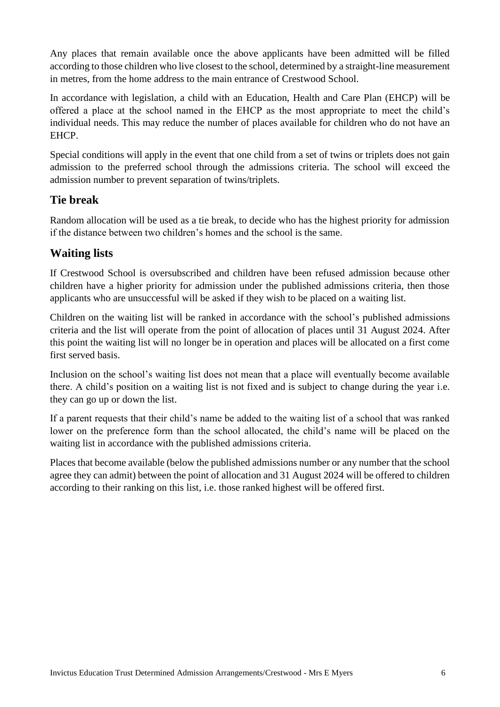Any places that remain available once the above applicants have been admitted will be filled according to those children who live closest to the school, determined by a straight-line measurement in metres, from the home address to the main entrance of Crestwood School.

In accordance with legislation, a child with an Education, Health and Care Plan (EHCP) will be offered a place at the school named in the EHCP as the most appropriate to meet the child's individual needs. This may reduce the number of places available for children who do not have an EHCP.

Special conditions will apply in the event that one child from a set of twins or triplets does not gain admission to the preferred school through the admissions criteria. The school will exceed the admission number to prevent separation of twins/triplets.

#### **Tie break**

Random allocation will be used as a tie break, to decide who has the highest priority for admission if the distance between two children's homes and the school is the same.

#### **Waiting lists**

If Crestwood School is oversubscribed and children have been refused admission because other children have a higher priority for admission under the published admissions criteria, then those applicants who are unsuccessful will be asked if they wish to be placed on a waiting list.

Children on the waiting list will be ranked in accordance with the school's published admissions criteria and the list will operate from the point of allocation of places until 31 August 2024. After this point the waiting list will no longer be in operation and places will be allocated on a first come first served basis.

Inclusion on the school's waiting list does not mean that a place will eventually become available there. A child's position on a waiting list is not fixed and is subject to change during the year i.e. they can go up or down the list.

If a parent requests that their child's name be added to the waiting list of a school that was ranked lower on the preference form than the school allocated, the child's name will be placed on the waiting list in accordance with the published admissions criteria.

Places that become available (below the published admissions number or any number that the school agree they can admit) between the point of allocation and 31 August 2024 will be offered to children according to their ranking on this list, i.e. those ranked highest will be offered first.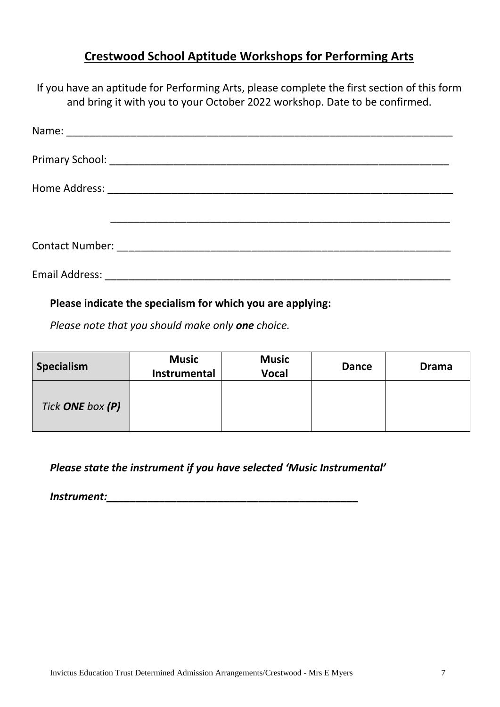#### **Crestwood School Aptitude Workshops for Performing Arts**

If you have an aptitude for Performing Arts, please complete the first section of this form and bring it with you to your October 2022 workshop. Date to be confirmed.

#### **Please indicate the specialism for which you are applying:**

*Please note that you should make only one choice.*

| <b>Specialism</b> | <b>Music</b><br>Instrumental | <b>Music</b><br><b>Vocal</b> | <b>Dance</b> | <b>Drama</b> |
|-------------------|------------------------------|------------------------------|--------------|--------------|
| Tick ONE box (P)  |                              |                              |              |              |

*Please state the instrument if you have selected 'Music Instrumental'*

*Instrument:\_\_\_\_\_\_\_\_\_\_\_\_\_\_\_\_\_\_\_\_\_\_\_\_\_\_\_\_\_\_\_\_\_\_\_\_\_\_\_\_\_\_\_*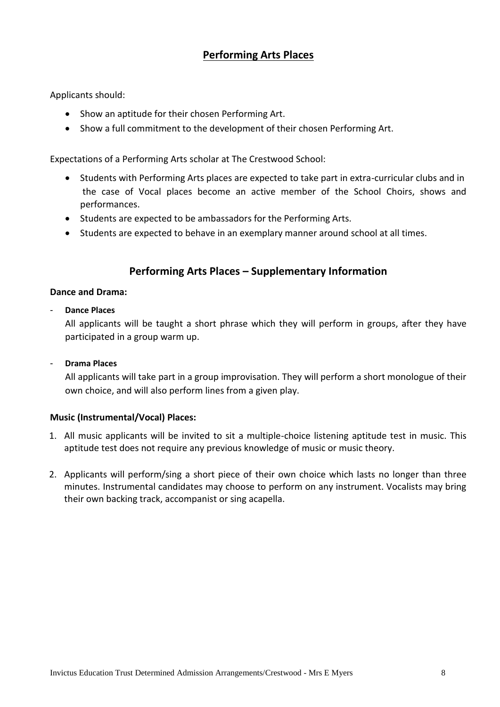#### **Performing Arts Places**

Applicants should:

- Show an aptitude for their chosen Performing Art.
- Show a full commitment to the development of their chosen Performing Art.

Expectations of a Performing Arts scholar at The Crestwood School:

- Students with Performing Arts places are expected to take part in extra-curricular clubs and in the case of Vocal places become an active member of the School Choirs, shows and performances.
- Students are expected to be ambassadors for the Performing Arts.
- Students are expected to behave in an exemplary manner around school at all times.

#### **Performing Arts Places – Supplementary Information**

#### **Dance and Drama:**

- **Dance Places**

All applicants will be taught a short phrase which they will perform in groups, after they have participated in a group warm up.

- **Drama Places**

All applicants will take part in a group improvisation. They will perform a short monologue of their own choice, and will also perform lines from a given play.

#### **Music (Instrumental/Vocal) Places:**

- 1. All music applicants will be invited to sit a multiple-choice listening aptitude test in music. This aptitude test does not require any previous knowledge of music or music theory.
- 2. Applicants will perform/sing a short piece of their own choice which lasts no longer than three minutes. Instrumental candidates may choose to perform on any instrument. Vocalists may bring their own backing track, accompanist or sing acapella.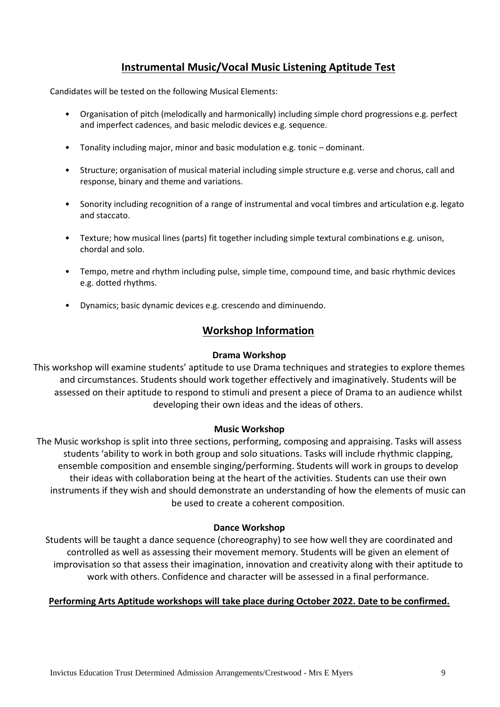#### **Instrumental Music/Vocal Music Listening Aptitude Test**

Candidates will be tested on the following Musical Elements:

- Organisation of pitch (melodically and harmonically) including simple chord progressions e.g. perfect and imperfect cadences, and basic melodic devices e.g. sequence.
- Tonality including major, minor and basic modulation e.g. tonic dominant.
- Structure; organisation of musical material including simple structure e.g. verse and chorus, call and response, binary and theme and variations.
- Sonority including recognition of a range of instrumental and vocal timbres and articulation e.g. legato and staccato.
- Texture; how musical lines (parts) fit together including simple textural combinations e.g. unison, chordal and solo.
- Tempo, metre and rhythm including pulse, simple time, compound time, and basic rhythmic devices e.g. dotted rhythms.
- Dynamics; basic dynamic devices e.g. crescendo and diminuendo.

#### **Workshop Information**

#### **Drama Workshop**

This workshop will examine students' aptitude to use Drama techniques and strategies to explore themes and circumstances. Students should work together effectively and imaginatively. Students will be assessed on their aptitude to respond to stimuli and present a piece of Drama to an audience whilst developing their own ideas and the ideas of others.

#### **Music Workshop**

The Music workshop is split into three sections, performing, composing and appraising. Tasks will assess students 'ability to work in both group and solo situations. Tasks will include rhythmic clapping, ensemble composition and ensemble singing/performing. Students will work in groups to develop their ideas with collaboration being at the heart of the activities. Students can use their own instruments if they wish and should demonstrate an understanding of how the elements of music can be used to create a coherent composition.

#### **Dance Workshop**

Students will be taught a dance sequence (choreography) to see how well they are coordinated and controlled as well as assessing their movement memory. Students will be given an element of improvisation so that assess their imagination, innovation and creativity along with their aptitude to work with others. Confidence and character will be assessed in a final performance.

#### **Performing Arts Aptitude workshops will take place during October 2022. Date to be confirmed.**